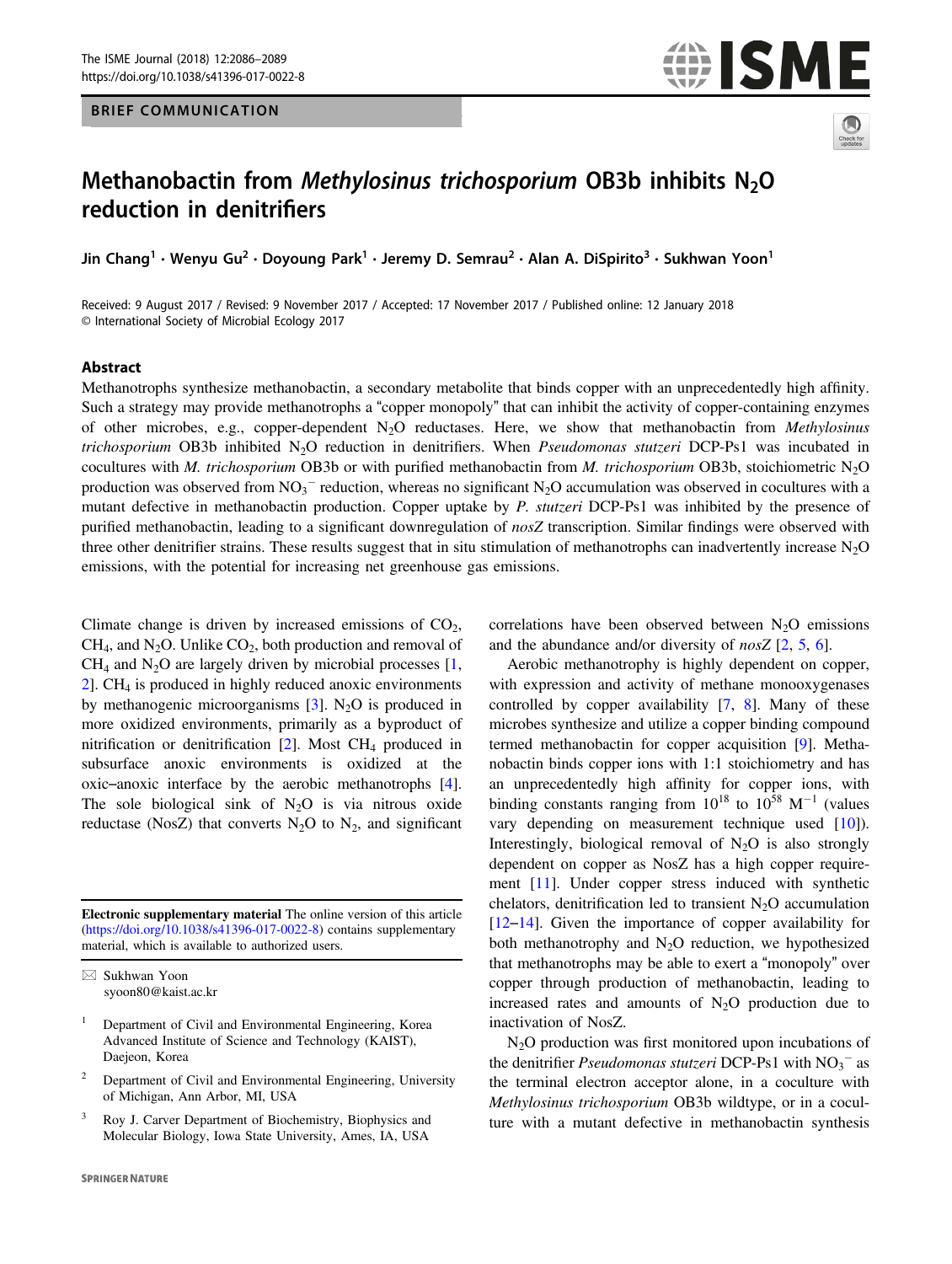## BRIEF COMMUNICATION





# Methanobactin from Methylosinus trichosporium OB3b inhibits N<sub>2</sub>O reduction in denitrifiers

Jin Chang •wenyu Gu •Doyoung Park •Jeremy D. Semrau •Alan A. Dispirito™ Sukhwan Yoon<br>Jin Chang •wenyu Gu

Received: 9 August 2017 / Revised: 9 November 2017 / Accepted: 17 November 2017 / Published online: 12 January 2018 © International Society of Microbial Ecology 2017

#### Abstract

Methanotrophs synthesize methanobactin, a secondary metabolite that binds copper with an unprecedentedly high affinity. Such a strategy may provide methanotrophs a "copper monopoly" that can inhibit the activity of copper-containing enzymes of other microbes, e.g., copper-dependent  $N_2O$  reductases. Here, we show that methanobactin from Methylosinus trichosporium OB3b inhibited N<sub>2</sub>O reduction in denitrifiers. When Pseudomonas stutzeri DCP-Ps1 was incubated in cocultures with M. trichosporium OB3b or with purified methanobactin from M. trichosporium OB3b, stoichiometric N<sub>2</sub>O production was observed from  $NO_3^-$  reduction, whereas no significant  $N_2O$  accumulation was observed in cocultures with a mutant defective in methanobactin production. Copper uptake by P. stutzeri DCP-Ps1 was inhibited by the presence of purified methanobactin, leading to a significant downregulation of  $n\sigma sZ$  transcription. Similar findings were observed with three other denitrifier strains. These results suggest that in situ stimulation of methanotrophs can inadvertently increase  $N<sub>2</sub>O$ emissions, with the potential for increasing net greenhouse gas emissions.

Climate change is driven by increased emissions of  $CO<sub>2</sub>$ ,  $CH<sub>4</sub>$ , and N<sub>2</sub>O. Unlike  $CO<sub>2</sub>$ , both production and removal of  $CH<sub>4</sub>$  and N<sub>2</sub>O are largely driven by microbial processes [[1,](#page-3-0) [2](#page-3-0)]. CH4 is produced in highly reduced anoxic environments by methanogenic microorganisms  $[3]$  $[3]$ . N<sub>2</sub>O is produced in more oxidized environments, primarily as a byproduct of nitrification or denitrification  $[2]$  $[2]$ . Most CH<sub>4</sub> produced in subsurface anoxic environments is oxidized at the oxic–anoxic interface by the aerobic methanotrophs [\[4](#page-3-0)]. The sole biological sink of  $N_2O$  is via nitrous oxide reductase (NosZ) that converts  $N_2O$  to  $N_2$ , and significant

Electronic supplementary material The online version of this article ([https://doi.org/10.1038/s41396-017-0022-8\)](https://doi.org/10.1038/s41396-017-0022-8) contains supplementary material, which is available to authorized users.

- <sup>2</sup> Department of Civil and Environmental Engineering, University of Michigan, Ann Arbor, MI, USA
- <sup>3</sup> Roy J. Carver Department of Biochemistry, Biophysics and Molecular Biology, Iowa State University, Ames, IA, USA

correlations have been observed between  $N_2O$  emissions and the abundance and/or diversity of  $nosZ$  [[2,](#page-3-0) [5,](#page-3-0) [6](#page-3-0)].

Aerobic methanotrophy is highly dependent on copper, with expression and activity of methane monooxygenases controlled by copper availability [\[7](#page-3-0), [8](#page-3-0)]. Many of these microbes synthesize and utilize a copper binding compound termed methanobactin for copper acquisition [\[9](#page-3-0)]. Methanobactin binds copper ions with 1:1 stoichiometry and has an unprecedentedly high affinity for copper ions, with binding constants ranging from  $10^{18}$  to  $10^{58}$  M<sup>-1</sup> (values vary depending on measurement technique used [\[10](#page-3-0)]). Interestingly, biological removal of  $N_2O$  is also strongly dependent on copper as NosZ has a high copper requirement [[11\]](#page-3-0). Under copper stress induced with synthetic chelators, denitrification led to transient  $N_2O$  accumulation [\[12](#page-3-0)–[14](#page-3-0)]. Given the importance of copper availability for both methanotrophy and  $N_2O$  reduction, we hypothesized that methanotrophs may be able to exert a "monopoly" over copper through production of methanobactin, leading to increased rates and amounts of  $N_2O$  production due to inactivation of NosZ.

N<sub>2</sub>O production was first monitored upon incubations of the denitrifier Pseudomonas stutzeri DCP-Ps1 with  $NO_3^-$  as the terminal electron acceptor alone, in a coculture with Methylosinus trichosporium OB3b wildtype, or in a coculture with a mutant defective in methanobactin synthesis

 $\boxtimes$  Sukhwan Yoon [syoon80@kaist.ac.kr](mailto:syoon80@kaist.ac.kr)

<sup>1</sup> Department of Civil and Environmental Engineering, Korea Advanced Institute of Science and Technology (KAIST), Daejeon, Korea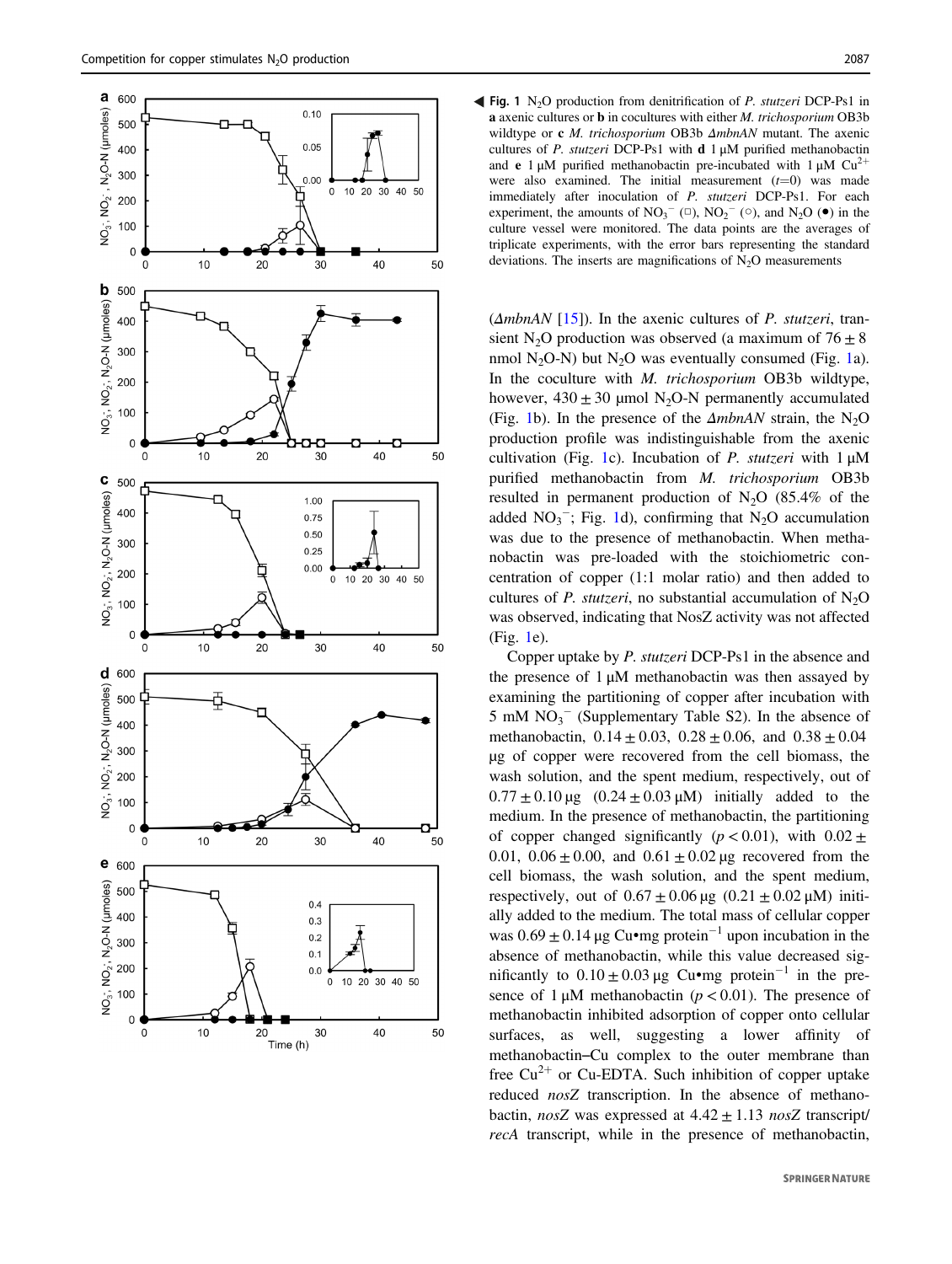

Fig. 1 N<sub>2</sub>O production from denitrification of *P. stutzeri* DCP-Ps1 in a axenic cultures or b in cocultures with either M. trichosporium OB3b wildtype or c *M. trichosporium* OB3b  $\Delta m$ bnAN mutant. The axenic cultures of P. stutzeri DCP-Ps1 with  $d$  1  $\mu$ M purified methanobactin and e 1 μM purified methanobactin pre-incubated with  $1 \mu M$  Cu<sup>2+</sup> were also examined. The initial measurement  $(t=0)$  was made immediately after inoculation of P. stutzeri DCP-Ps1. For each experiment, the amounts of  $NO<sub>3</sub><sup>-</sup>$  ( $\Box$ ),  $NO<sub>2</sub><sup>-</sup>$  ( $\degree$ ), and  $N<sub>2</sub>O$  ( $\bullet$ ) in the culture vessel were monitored. The data points are the averages of triplicate experiments, with the error bars representing the standard deviations. The inserts are magnifications of  $N_2O$  measurements

 $(\Delta mbnAN$  [\[15](#page-3-0)]). In the axenic cultures of *P. stutzeri*, transient N<sub>2</sub>O production was observed (a maximum of  $76 \pm 8$ ) nmol N<sub>2</sub>O-N) but N<sub>2</sub>O was eventually consumed (Fig. 1a). In the coculture with *M. trichosporium* OB3b wildtype, however,  $430 \pm 30$  µmol N<sub>2</sub>O-N permanently accumulated (Fig. 1b). In the presence of the  $\Delta mbnAN$  strain, the N<sub>2</sub>O production profile was indistinguishable from the axenic cultivation (Fig. 1c). Incubation of P. stutzeri with  $1 \mu M$ purified methanobactin from M. trichosporium OB3b resulted in permanent production of  $N_2O$  (85.4% of the added  $NO<sub>3</sub><sup>-</sup>$ ; Fig. 1d), confirming that N<sub>2</sub>O accumulation was due to the presence of methanobactin. When methanobactin was pre-loaded with the stoichiometric concentration of copper (1:1 molar ratio) and then added to cultures of P. stutzeri, no substantial accumulation of  $N_2O$ was observed, indicating that NosZ activity was not affected (Fig. 1e).

Copper uptake by P. stutzeri DCP-Ps1 in the absence and the presence of  $1 \mu M$  methanobactin was then assayed by examining the partitioning of copper after incubation with 5 mM  $NO<sub>3</sub><sup>-</sup>$  (Supplementary Table S2). In the absence of methanobactin,  $0.14 \pm 0.03$ ,  $0.28 \pm 0.06$ , and  $0.38 \pm 0.04$ µg of copper were recovered from the cell biomass, the wash solution, and the spent medium, respectively, out of  $0.77 \pm 0.10 \,\mu g$   $(0.24 \pm 0.03 \,\mu M)$  initially added to the medium. In the presence of methanobactin, the partitioning of copper changed significantly ( $p < 0.01$ ), with  $0.02 \pm$ 0.01,  $0.06 \pm 0.00$ , and  $0.61 \pm 0.02$  µg recovered from the cell biomass, the wash solution, and the spent medium, respectively, out of  $0.67 \pm 0.06 \,\text{µg}$  ( $0.21 \pm 0.02 \,\text{µM}$ ) initially added to the medium. The total mass of cellular copper was  $0.69 \pm 0.14$  μg Cu•mg protein<sup>-1</sup> upon incubation in the absence of methanobactin, while this value decreased significantly to  $0.10 \pm 0.03 \,\mu$ g Cu•mg protein<sup>-1</sup> in the presence of 1  $\mu$ M methanobactin ( $p < 0.01$ ). The presence of methanobactin inhibited adsorption of copper onto cellular surfaces, as well, suggesting a lower affinity of methanobactin–Cu complex to the outer membrane than free  $Cu^{2+}$  or Cu-EDTA. Such inhibition of copper uptake reduced nosZ transcription. In the absence of methanobactin, nosZ was expressed at  $4.42 \pm 1.13$  nosZ transcript/ recA transcript, while in the presence of methanobactin,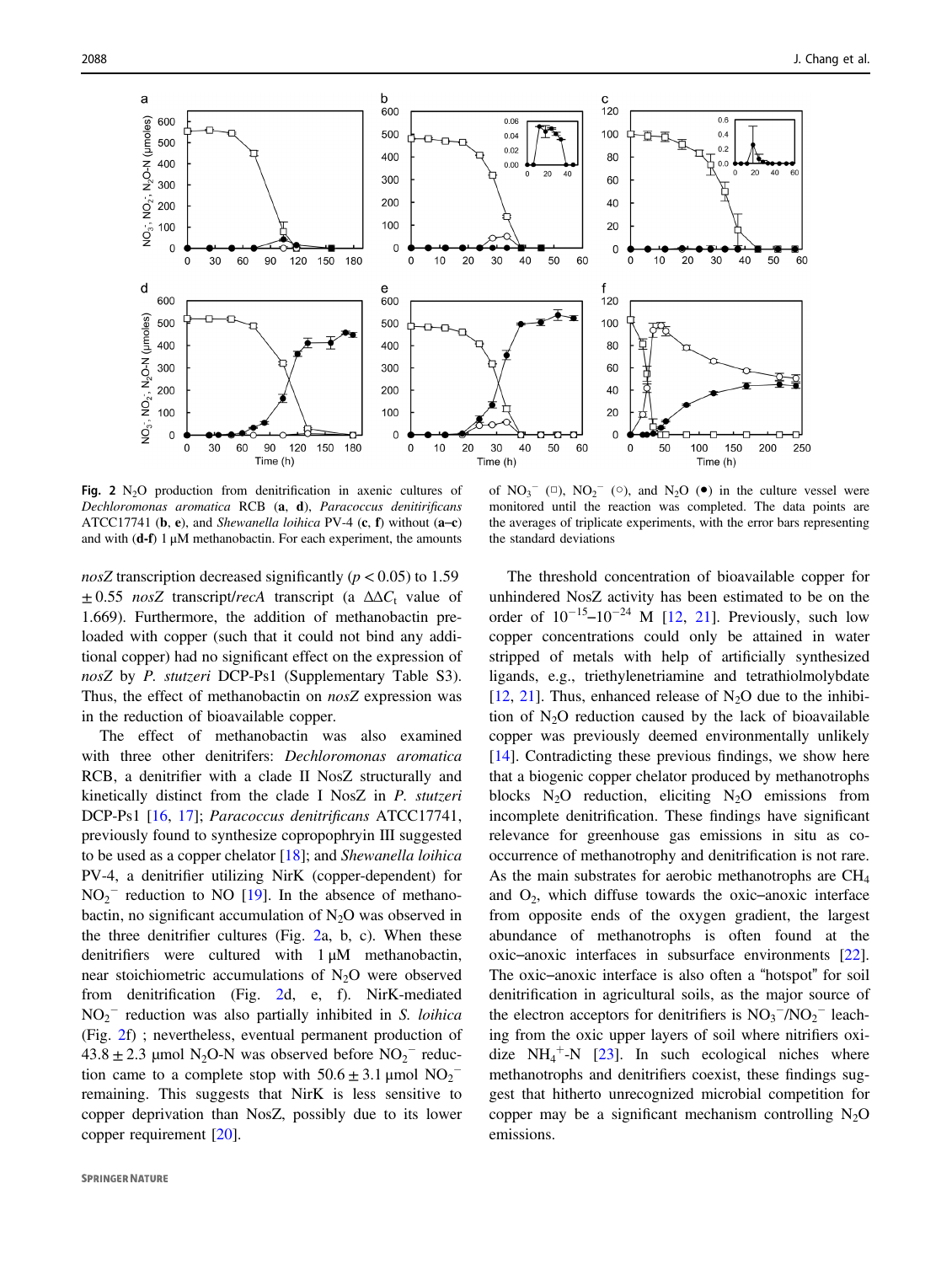

Fig. 2  $N_2O$  production from denitrification in axenic cultures of Dechloromonas aromatica RCB (a, d), Paracoccus denitirificans ATCC17741 (b, e), and Shewanella loihica PV-4 (c, f) without  $(a-c)$ and with  $(d-f) 1 \mu M$  methanobactin. For each experiment, the amounts

nosZ transcription decreased significantly ( $p < 0.05$ ) to 1.59  $\pm 0.55$  nosZ transcript/recA transcript (a  $\Delta \Delta C_t$  value of 1.669). Furthermore, the addition of methanobactin preloaded with copper (such that it could not bind any additional copper) had no significant effect on the expression of nosZ by P. stutzeri DCP-Ps1 (Supplementary Table S3). Thus, the effect of methanobactin on nosZ expression was in the reduction of bioavailable copper.

The effect of methanobactin was also examined with three other denitrifers: Dechloromonas aromatica RCB, a denitrifier with a clade II NosZ structurally and kinetically distinct from the clade I NosZ in P. stutzeri DCP-Ps1 [[16,](#page-3-0) [17](#page-3-0)]; Paracoccus denitrificans ATCC17741, previously found to synthesize copropophryin III suggested to be used as a copper chelator [\[18](#page-3-0)]; and Shewanella loihica PV-4, a denitrifier utilizing NirK (copper-dependent) for  $NO<sub>2</sub><sup>-</sup>$  reduction to NO [\[19](#page-3-0)]. In the absence of methanobactin, no significant accumulation of  $N_2O$  was observed in the three denitrifier cultures (Fig. 2a, b, c). When these denitrifiers were cultured with 1 μM methanobactin, near stoichiometric accumulations of  $N_2O$  were observed from denitrification (Fig. 2d, e, f). NirK-mediated  $NO<sub>2</sub><sup>-</sup>$  reduction was also partially inhibited in S. loihica (Fig. 2f) ; nevertheless, eventual permanent production of  $43.8 \pm 2.3$  µmol N<sub>2</sub>O-N was observed before NO<sub>2</sub><sup>-</sup> reduction came to a complete stop with  $50.6 \pm 3.1$  µmol  $NO_2^$ remaining. This suggests that NirK is less sensitive to copper deprivation than NosZ, possibly due to its lower copper requirement [\[20](#page-3-0)].

of  $NO_3^-$  ( $\Box$ ),  $NO_2^-$  ( $\odot$ ), and  $N_2O$  ( $\bullet$ ) in the culture vessel were monitored until the reaction was completed. The data points are the averages of triplicate experiments, with the error bars representing the standard deviations

The threshold concentration of bioavailable copper for unhindered NosZ activity has been estimated to be on the order of  $10^{-15}$ – $10^{-24}$  M [[12,](#page-3-0) [21](#page-3-0)]. Previously, such low copper concentrations could only be attained in water stripped of metals with help of artificially synthesized ligands, e.g., triethylenetriamine and tetrathiolmolybdate [\[12](#page-3-0), [21](#page-3-0)]. Thus, enhanced release of  $N_2O$  due to the inhibition of  $N<sub>2</sub>O$  reduction caused by the lack of bioavailable copper was previously deemed environmentally unlikely [\[14](#page-3-0)]. Contradicting these previous findings, we show here that a biogenic copper chelator produced by methanotrophs blocks  $N_2O$  reduction, eliciting  $N_2O$  emissions from incomplete denitrification. These findings have significant relevance for greenhouse gas emissions in situ as cooccurrence of methanotrophy and denitrification is not rare. As the main substrates for aerobic methanotrophs are  $CH<sub>4</sub>$ and  $O_2$ , which diffuse towards the oxic–anoxic interface from opposite ends of the oxygen gradient, the largest abundance of methanotrophs is often found at the oxic–anoxic interfaces in subsurface environments [[22\]](#page-3-0). The oxic–anoxic interface is also often a "hotspot" for soil denitrification in agricultural soils, as the major source of the electron acceptors for denitrifiers is  $NO_3^-/NO_2^-$  leaching from the oxic upper layers of soil where nitrifiers oxidize  $NH_4^+$ -N [[23](#page-3-0)]. In such ecological niches where methanotrophs and denitrifiers coexist, these findings suggest that hitherto unrecognized microbial competition for copper may be a significant mechanism controlling  $N_2O$ emissions.